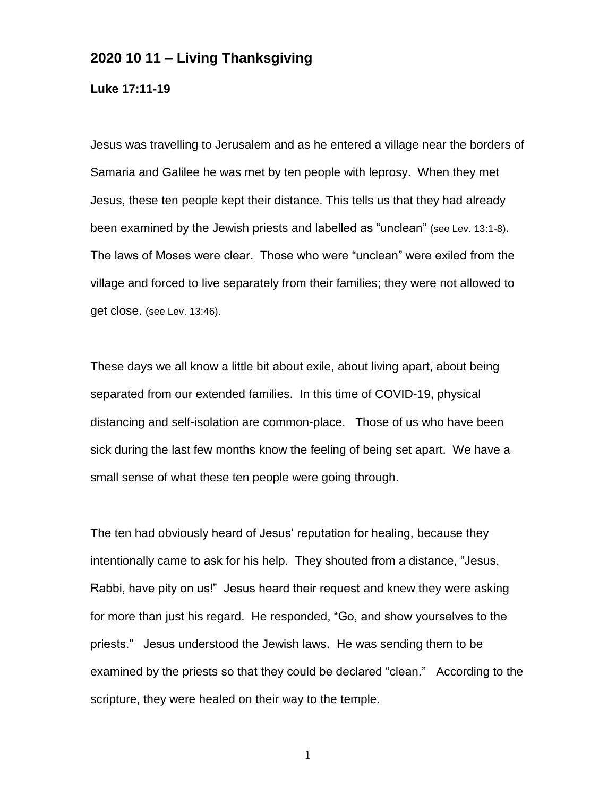## **2020 10 11 – Living Thanksgiving**

**Luke 17:11-19**

Jesus was travelling to Jerusalem and as he entered a village near the borders of Samaria and Galilee he was met by ten people with leprosy. When they met Jesus, these ten people kept their distance. This tells us that they had already been examined by the Jewish priests and labelled as "unclean" (see Lev. 13:1-8). The laws of Moses were clear. Those who were "unclean" were exiled from the village and forced to live separately from their families; they were not allowed to get close. (see Lev. 13:46).

These days we all know a little bit about exile, about living apart, about being separated from our extended families. In this time of COVID-19, physical distancing and self-isolation are common-place. Those of us who have been sick during the last few months know the feeling of being set apart. We have a small sense of what these ten people were going through.

The ten had obviously heard of Jesus' reputation for healing, because they intentionally came to ask for his help. They shouted from a distance, "Jesus, Rabbi, have pity on us!" Jesus heard their request and knew they were asking for more than just his regard. He responded, "Go, and show yourselves to the priests." Jesus understood the Jewish laws. He was sending them to be examined by the priests so that they could be declared "clean." According to the scripture, they were healed on their way to the temple.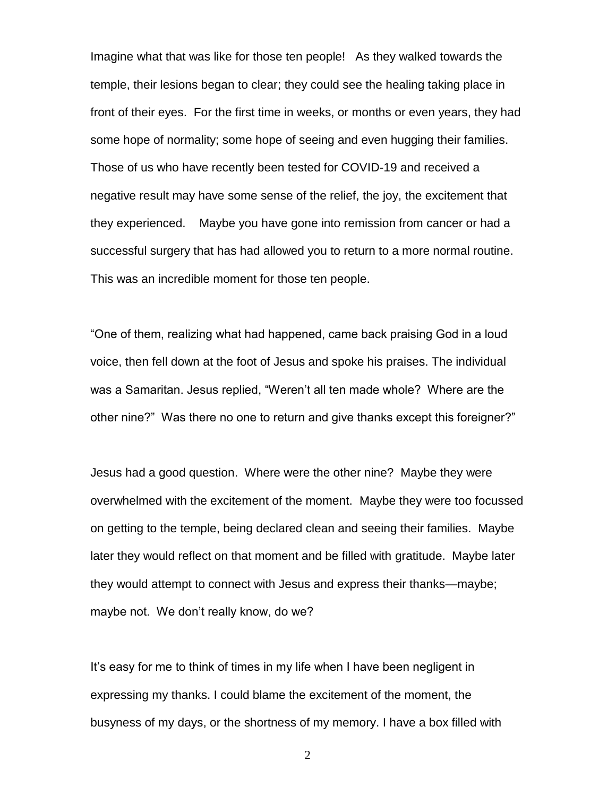Imagine what that was like for those ten people! As they walked towards the temple, their lesions began to clear; they could see the healing taking place in front of their eyes. For the first time in weeks, or months or even years, they had some hope of normality; some hope of seeing and even hugging their families. Those of us who have recently been tested for COVID-19 and received a negative result may have some sense of the relief, the joy, the excitement that they experienced. Maybe you have gone into remission from cancer or had a successful surgery that has had allowed you to return to a more normal routine. This was an incredible moment for those ten people.

"One of them, realizing what had happened, came back praising God in a loud voice, then fell down at the foot of Jesus and spoke his praises. The individual was a Samaritan. Jesus replied, "Weren't all ten made whole? Where are the other nine?" Was there no one to return and give thanks except this foreigner?"

Jesus had a good question. Where were the other nine? Maybe they were overwhelmed with the excitement of the moment. Maybe they were too focussed on getting to the temple, being declared clean and seeing their families. Maybe later they would reflect on that moment and be filled with gratitude. Maybe later they would attempt to connect with Jesus and express their thanks—maybe; maybe not. We don't really know, do we?

It's easy for me to think of times in my life when I have been negligent in expressing my thanks. I could blame the excitement of the moment, the busyness of my days, or the shortness of my memory. I have a box filled with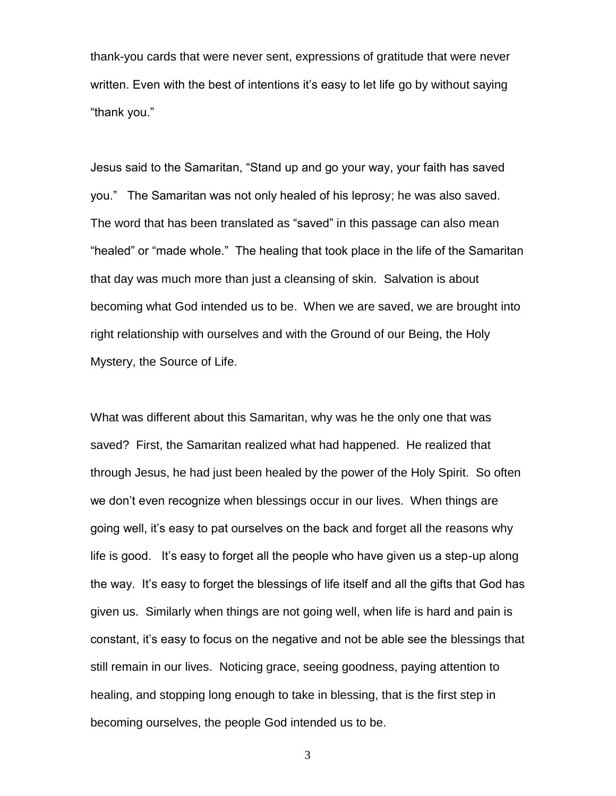thank-you cards that were never sent, expressions of gratitude that were never written. Even with the best of intentions it's easy to let life go by without saying "thank you."

Jesus said to the Samaritan, "Stand up and go your way, your faith has saved you." The Samaritan was not only healed of his leprosy; he was also saved. The word that has been translated as "saved" in this passage can also mean "healed" or "made whole." The healing that took place in the life of the Samaritan that day was much more than just a cleansing of skin. Salvation is about becoming what God intended us to be. When we are saved, we are brought into right relationship with ourselves and with the Ground of our Being, the Holy Mystery, the Source of Life.

What was different about this Samaritan, why was he the only one that was saved? First, the Samaritan realized what had happened. He realized that through Jesus, he had just been healed by the power of the Holy Spirit. So often we don't even recognize when blessings occur in our lives. When things are going well, it's easy to pat ourselves on the back and forget all the reasons why life is good. It's easy to forget all the people who have given us a step-up along the way. It's easy to forget the blessings of life itself and all the gifts that God has given us. Similarly when things are not going well, when life is hard and pain is constant, it's easy to focus on the negative and not be able see the blessings that still remain in our lives. Noticing grace, seeing goodness, paying attention to healing, and stopping long enough to take in blessing, that is the first step in becoming ourselves, the people God intended us to be.